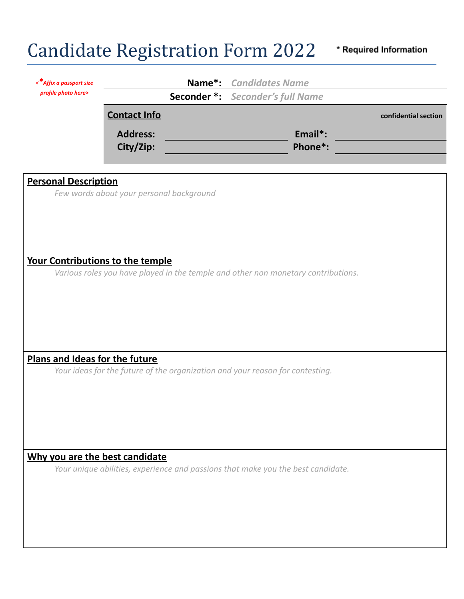## Candidate Registration Form 2022

\* Required Information

| <*Affix a passport size          | Name*: Candidates Name                                                        |  |  |                                                                                   |                      |
|----------------------------------|-------------------------------------------------------------------------------|--|--|-----------------------------------------------------------------------------------|----------------------|
| profile photo here>              | <b>Seconder *:</b> Seconder's full Name                                       |  |  |                                                                                   |                      |
|                                  | <b>Contact Info</b>                                                           |  |  |                                                                                   | confidential section |
|                                  | <b>Address:</b>                                                               |  |  | Email*:                                                                           |                      |
|                                  | City/Zip:                                                                     |  |  | Phone*:                                                                           |                      |
|                                  |                                                                               |  |  |                                                                                   |                      |
| <b>Personal Description</b>      |                                                                               |  |  |                                                                                   |                      |
|                                  | Few words about your personal background                                      |  |  |                                                                                   |                      |
|                                  |                                                                               |  |  |                                                                                   |                      |
|                                  |                                                                               |  |  |                                                                                   |                      |
|                                  |                                                                               |  |  |                                                                                   |                      |
| Your Contributions to the temple |                                                                               |  |  |                                                                                   |                      |
|                                  |                                                                               |  |  | Various roles you have played in the temple and other non monetary contributions. |                      |
|                                  |                                                                               |  |  |                                                                                   |                      |
|                                  |                                                                               |  |  |                                                                                   |                      |
|                                  |                                                                               |  |  |                                                                                   |                      |
|                                  |                                                                               |  |  |                                                                                   |                      |
| Plans and Ideas for the future   |                                                                               |  |  |                                                                                   |                      |
|                                  | Your ideas for the future of the organization and your reason for contesting. |  |  |                                                                                   |                      |
|                                  |                                                                               |  |  |                                                                                   |                      |
|                                  |                                                                               |  |  |                                                                                   |                      |
|                                  |                                                                               |  |  |                                                                                   |                      |
|                                  |                                                                               |  |  |                                                                                   |                      |
|                                  |                                                                               |  |  |                                                                                   |                      |
| Why you are the best candidate   |                                                                               |  |  | Your unique abilities, experience and passions that make you the best candidate.  |                      |
|                                  |                                                                               |  |  |                                                                                   |                      |
|                                  |                                                                               |  |  |                                                                                   |                      |
|                                  |                                                                               |  |  |                                                                                   |                      |
|                                  |                                                                               |  |  |                                                                                   |                      |